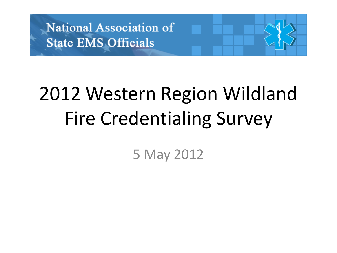

## 2012 Western Region Wildland Fire Credentialing Survey

5 May 2012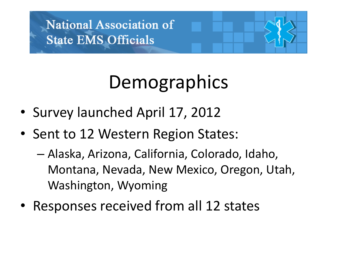### Demographics

- Survey launched April 17, 2012
- Sent to 12 Western Region States:
	- Alaska, Arizona, California, Colorado, Idaho, Montana, Nevada, New Mexico, Oregon, Utah, Washington, Wyoming
- Responses received from all 12 states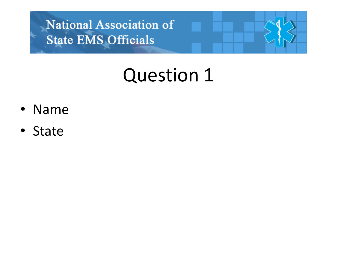#### Question 1

- Name
- State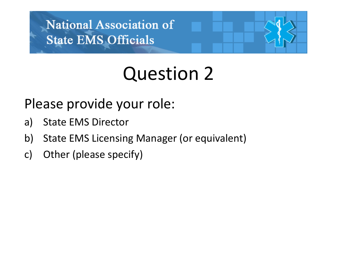#### Question 2

Please provide your role:

- a) State EMS Director
- b) State EMS Licensing Manager (or equivalent)
- c) Other (please specify)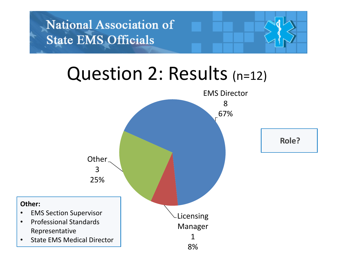#### Question 2: Results (n=12)

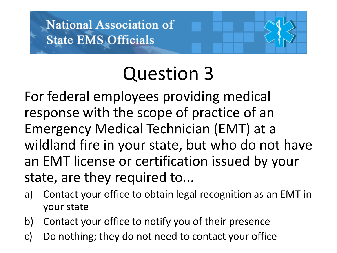#### Question 3

For federal employees providing medical response with the scope of practice of an Emergency Medical Technician (EMT) at a wildland fire in your state, but who do not have an EMT license or certification issued by your state, are they required to...

- a) Contact your office to obtain legal recognition as an EMT in your state
- b) Contact your office to notify you of their presence
- c) Do nothing; they do not need to contact your office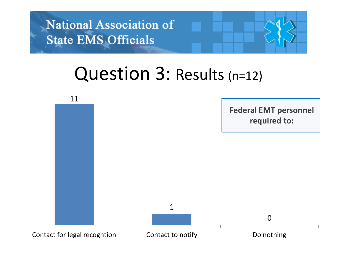#### Question 3: Results (n=12)

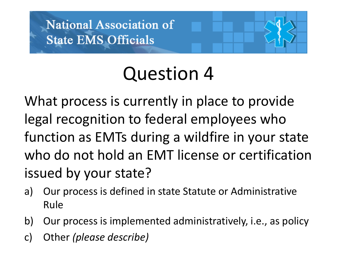# Question 4

What process is currently in place to provide legal recognition to federal employees who function as EMTs during a wildfire in your state who do not hold an EMT license or certification issued by your state?

- a) Our process is defined in state Statute or Administrative Rule
- b) Our process is implemented administratively, i.e., as policy
- c) Other *(please describe)*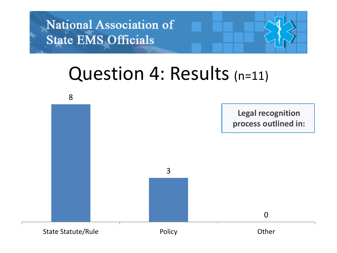#### Question 4: Results (n=11)

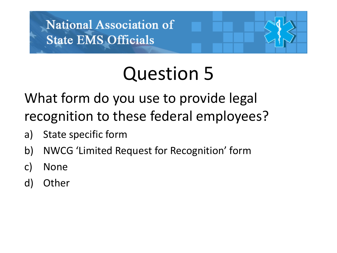## Question 5

What form do you use to provide legal recognition to these federal employees?

- a) State specific form
- b) NWCG 'Limited Request for Recognition' form
- c) None
- d) Other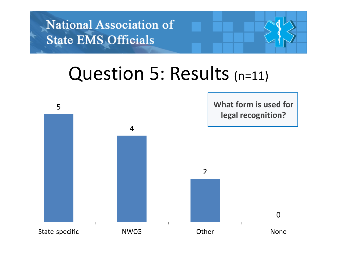#### Question 5: Results (n=11)

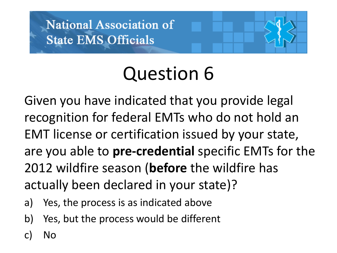#### Question 6

Given you have indicated that you provide legal recognition for federal EMTs who do not hold an EMT license or certification issued by your state, are you able to **pre-credential** specific EMTs for the 2012 wildfire season (**before** the wildfire has actually been declared in your state)?

- a) Yes, the process is as indicated above
- b) Yes, but the process would be different
- c) No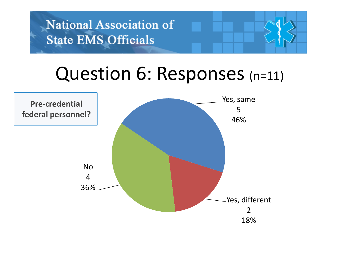#### Question 6: Responses (n=11)

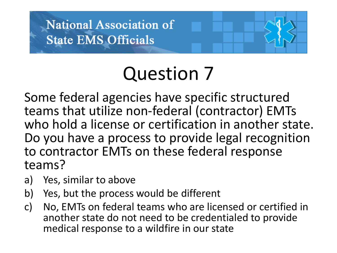## Question 7

Some federal agencies have specific structured teams that utilize non-federal (contractor) EMTs who hold a license or certification in another state. Do you have a process to provide legal recognition to contractor EMTs on these federal response teams?

- a) Yes, similar to above
- b) Yes, but the process would be different
- c) No, EMTs on federal teams who are licensed or certified in another state do not need to be credentialed to provide medical response to a wildfire in our state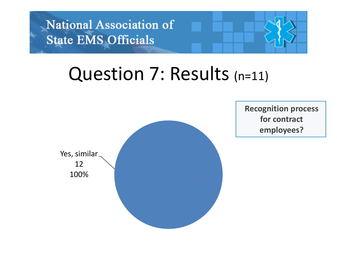#### Question 7: Results (n=11)



**Recognition process for contract employees?**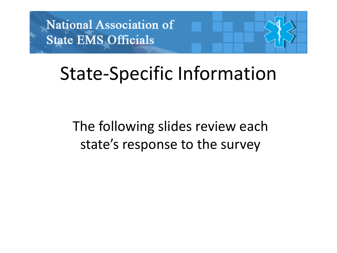#### State-Specific Information

The following slides review each state's response to the survey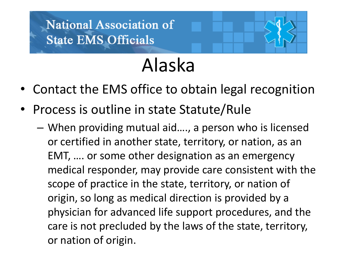#### Alaska

- Contact the EMS office to obtain legal recognition
- Process is outline in state Statute/Rule
	- When providing mutual aid…., a person who is licensed or certified in another state, territory, or nation, as an EMT, …. or some other designation as an emergency medical responder, may provide care consistent with the scope of practice in the state, territory, or nation of origin, so long as medical direction is provided by a physician for advanced life support procedures, and the care is not precluded by the laws of the state, territory, or nation of origin.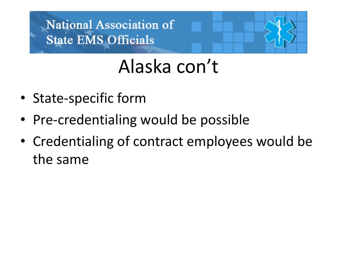#### Alaska con't

- State-specific form
- Pre-credentialing would be possible
- Credentialing of contract employees would be the same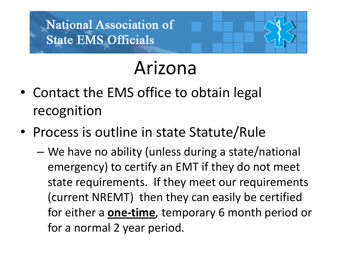#### Arizona

- Contact the EMS office to obtain legal recognition
- Process is outline in state Statute/Rule
	- We have no ability (unless during a state/national emergency) to certify an EMT if they do not meet state requirements. If they meet our requirements (current NREMT) then they can easily be certified for either a **one-time**, temporary 6 month period or for a normal 2 year period.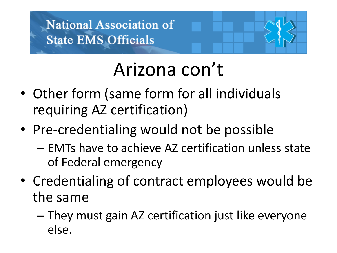#### Arizona con't

- Other form (same form for all individuals requiring AZ certification)
- Pre-credentialing would not be possible
	- EMTs have to achieve AZ certification unless state of Federal emergency
- Credentialing of contract employees would be the same
	- They must gain AZ certification just like everyone else.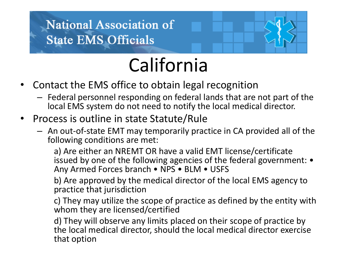

### California

- Contact the EMS office to obtain legal recognition
	- Federal personnel responding on federal lands that are not part of the local EMS system do not need to notify the local medical director.
- Process is outline in state Statute/Rule
	- An out-of-state EMT may temporarily practice in CA provided all of the following conditions are met:

a) Are either an NREMT OR have a valid EMT license/certificate issued by one of the following agencies of the federal government: • Any Armed Forces branch • NPS • BLM • USFS

b) Are approved by the medical director of the local EMS agency to practice that jurisdiction

c) They may utilize the scope of practice as defined by the entity with whom they are licensed/certified

d) They will observe any limits placed on their scope of practice by the local medical director, should the local medical director exercise that option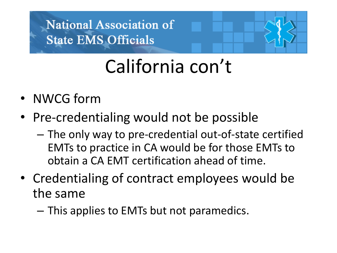### California con't

- NWCG form
- Pre-credentialing would not be possible
	- The only way to pre-credential out-of-state certified EMTs to practice in CA would be for those EMTs to obtain a CA EMT certification ahead of time.
- Credentialing of contract employees would be the same
	- This applies to EMTs but not paramedics.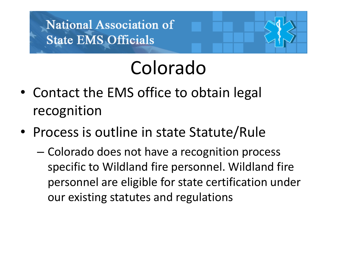### Colorado

- Contact the EMS office to obtain legal recognition
- Process is outline in state Statute/Rule
	- Colorado does not have a recognition process specific to Wildland fire personnel. Wildland fire personnel are eligible for state certification under our existing statutes and regulations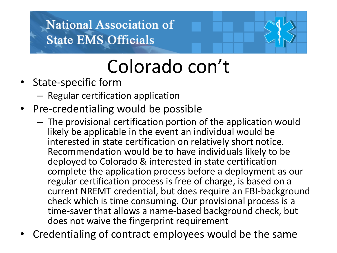### Colorado con't

- State-specific form
	- Regular certification application
- Pre-credentialing would be possible
	- The provisional certification portion of the application would likely be applicable in the event an individual would be interested in state certification on relatively short notice. Recommendation would be to have individuals likely to be deployed to Colorado & interested in state certification complete the application process before a deployment as our regular certification process is free of charge, is based on a current NREMT credential, but does require an FBI-background check which is time consuming. Our provisional process is a time-saver that allows a name-based background check, but does not waive the fingerprint requirement
- Credentialing of contract employees would be the same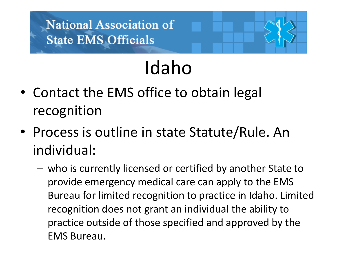- Idaho
- Contact the EMS office to obtain legal recognition
- Process is outline in state Statute/Rule. An individual:
	- who is currently licensed or certified by another State to provide emergency medical care can apply to the EMS Bureau for limited recognition to practice in Idaho. Limited recognition does not grant an individual the ability to practice outside of those specified and approved by the EMS Bureau.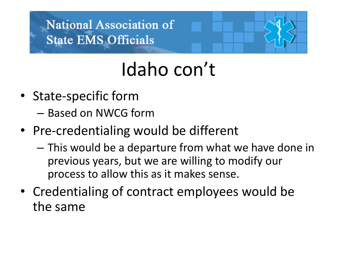### Idaho con't

- State-specific form
	- Based on NWCG form
- Pre-credentialing would be different
	- This would be a departure from what we have done in previous years, but we are willing to modify our process to allow this as it makes sense.
- Credentialing of contract employees would be the same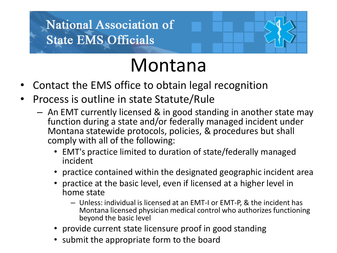

#### Montana

- Contact the EMS office to obtain legal recognition
- Process is outline in state Statute/Rule
	- An EMT currently licensed & in good standing in another state may function during a state and/or federally managed incident under Montana statewide protocols, policies, & procedures but shall comply with all of the following:
		- EMT's practice limited to duration of state/federally managed incident
		- practice contained within the designated geographic incident area
		- practice at the basic level, even if licensed at a higher level in home state
			- Unless: individual is licensed at an EMT-I or EMT-P, & the incident has Montana licensed physician medical control who authorizes functioning beyond the basic level
		- provide current state licensure proof in good standing
		- submit the appropriate form to the board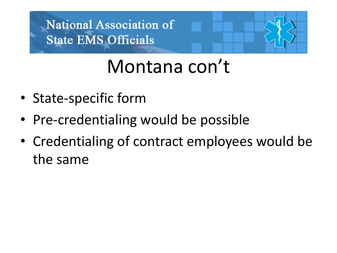#### Montana con't

- State-specific form
- Pre-credentialing would be possible
- Credentialing of contract employees would be the same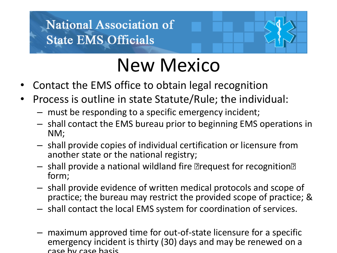

#### New Mexico

- Contact the EMS office to obtain legal recognition
- Process is outline in state Statute/Rule; the individual:
	- must be responding to a specific emergency incident;
	- shall contact the EMS bureau prior to beginning EMS operations in NM;
	- shall provide copies of individual certification or licensure from another state or the national registry;
	- shall provide a national wildland fire "request for recognition" form;
	- shall provide evidence of written medical protocols and scope of practice; the bureau may restrict the provided scope of practice; &
	- shall contact the local EMS system for coordination of services.
	- maximum approved time for out-of-state licensure for a specific emergency incident is thirty (30) days and may be renewed on a case by case basis.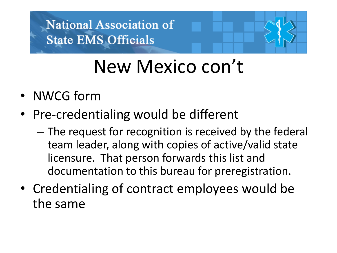#### New Mexico con't

- NWCG form
- Pre-credentialing would be different
	- The request for recognition is received by the federal team leader, along with copies of active/valid state licensure. That person forwards this list and documentation to this bureau for preregistration.
- Credentialing of contract employees would be the same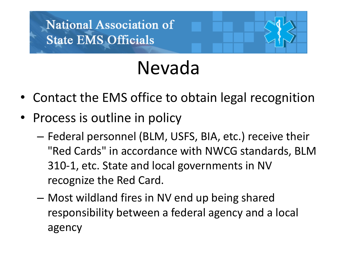#### Nevada

- Contact the EMS office to obtain legal recognition
- Process is outline in policy
	- Federal personnel (BLM, USFS, BIA, etc.) receive their "Red Cards" in accordance with NWCG standards, BLM 310-1, etc. State and local governments in NV recognize the Red Card.
	- Most wildland fires in NV end up being shared responsibility between a federal agency and a local agency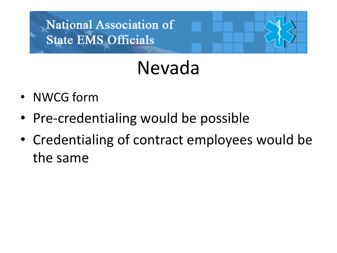### Nevada

- NWCG form
- Pre-credentialing would be possible
- Credentialing of contract employees would be the same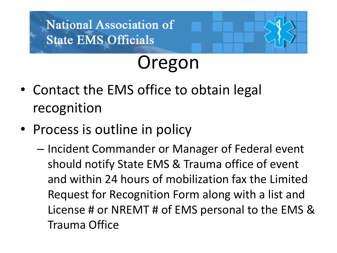#### Oregon

- Contact the EMS office to obtain legal recognition
- Process is outline in policy
	- Incident Commander or Manager of Federal event should notify State EMS & Trauma office of event and within 24 hours of mobilization fax the Limited Request for Recognition Form along with a list and License # or NREMT # of EMS personal to the EMS & Trauma Office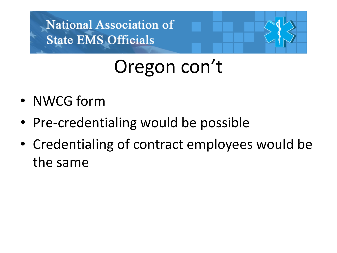### Oregon con't

- NWCG form
- Pre-credentialing would be possible
- Credentialing of contract employees would be the same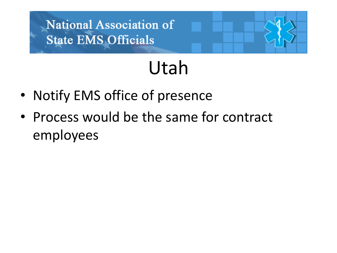#### Utah

- Notify EMS office of presence
- Process would be the same for contract employees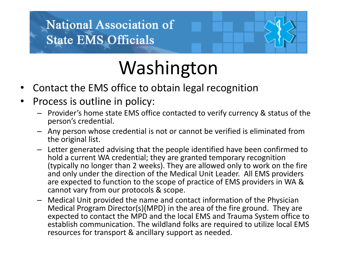## Washington

- Contact the EMS office to obtain legal recognition
- Process is outline in policy:
	- Provider's home state EMS office contacted to verify currency & status of the person's credential.
	- Any person whose credential is not or cannot be verified is eliminated from the original list.
	- Letter generated advising that the people identified have been confirmed to hold a current WA credential; they are granted temporary recognition (typically no longer than 2 weeks). They are allowed only to work on the fire and only under the direction of the Medical Unit Leader. All EMS providers are expected to function to the scope of practice of EMS providers in WA & cannot vary from our protocols & scope.
	- Medical Unit provided the name and contact information of the Physician Medical Program Director(s)(MPD) in the area of the fire ground. They are expected to contact the MPD and the local EMS and Trauma System office to establish communication. The wildland folks are required to utilize local EMS resources for transport & ancillary support as needed.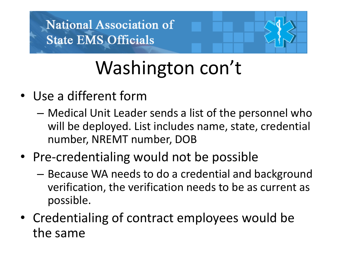# Washington con't

- Use a different form
	- Medical Unit Leader sends a list of the personnel who will be deployed. List includes name, state, credential number, NREMT number, DOB
- Pre-credentialing would not be possible
	- Because WA needs to do a credential and background verification, the verification needs to be as current as possible.
- Credentialing of contract employees would be the same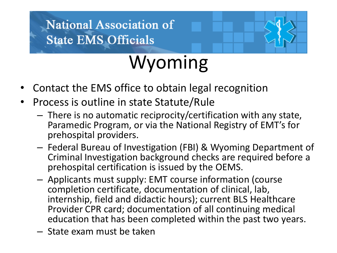

- Contact the EMS office to obtain legal recognition
- Process is outline in state Statute/Rule
	- There is no automatic reciprocity/certification with any state, Paramedic Program, or via the National Registry of EMT's for prehospital providers.
	- Federal Bureau of Investigation (FBI) & Wyoming Department of Criminal Investigation background checks are required before a prehospital certification is issued by the OEMS.
	- Applicants must supply: EMT course information (course completion certificate, documentation of clinical, lab, internship, field and didactic hours); current BLS Healthcare Provider CPR card; documentation of all continuing medical education that has been completed within the past two years.
	- State exam must be taken